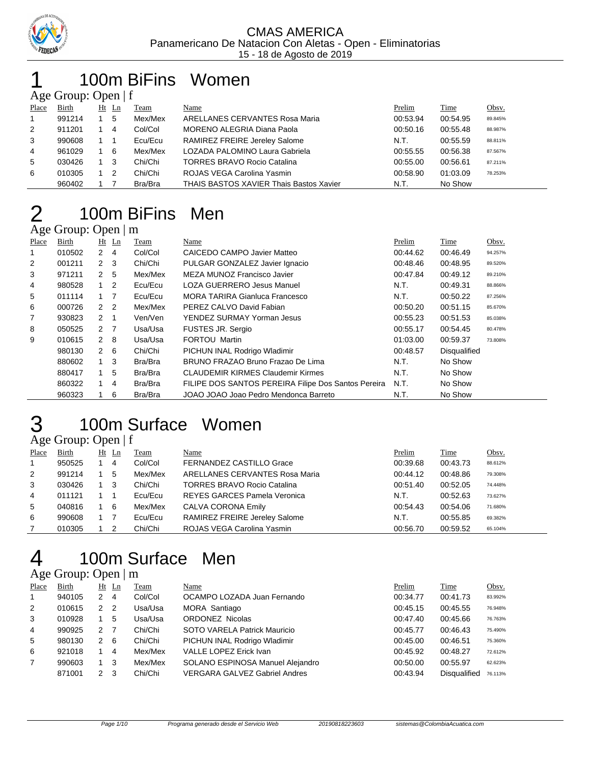

### 100m BiFins Women Age Group: Open  $|f|$

|                | $T_{\rm X}$ UIVUP. Opti $T_{\rm X}$ |     |                |         |                                                |          |          |         |
|----------------|-------------------------------------|-----|----------------|---------|------------------------------------------------|----------|----------|---------|
| Place          | Birth                               |     | $Ht$ Ln        | Team    | Name                                           | Prelim   | Time     | Obsv.   |
| $\overline{1}$ | 991214                              | 1 5 |                | Mex/Mex | ARELLANES CERVANTES Rosa Maria                 | 00:53.94 | 00:54.95 | 89.845% |
| 2              | 911201                              |     | -4             | Col/Col | <b>MORENO ALEGRIA Diana Paola</b>              | 00:50.16 | 00:55.48 | 88.987% |
| 3              | 990608                              |     |                | Ecu/Ecu | RAMIREZ FREIRE Jereley Salome                  | N.T.     | 00:55.59 | 88.811% |
| 4              | 961029                              |     | - 6            | Mex/Mex | LOZADA PALOMINO Laura Gabriela                 | 00:55.55 | 00:56.38 | 87.567% |
| 5              | 030426                              | 1 3 |                | Chi/Chi | <b>TORRES BRAVO Rocio Catalina</b>             | 00:55.00 | 00:56.61 | 87.211% |
| 6              | 010305                              |     | $\overline{2}$ | Chi/Chi | ROJAS VEGA Carolina Yasmin                     | 00:58.90 | 01:03.09 | 78.253% |
|                | 960402                              |     |                | Bra/Bra | <b>THAIS BASTOS XAVIER Thais Bastos Xavier</b> | N.T.     | No Show  |         |

## 100m BiFins Men

### Age Group: Open | m

| Place          | Birth  |                | $Ht$ Ln | Team    | Name                                                | Prelim   | Time         | Obsv.   |
|----------------|--------|----------------|---------|---------|-----------------------------------------------------|----------|--------------|---------|
|                | 010502 | $2 \quad 4$    |         | Col/Col | CAICEDO CAMPO Javier Matteo                         | 00:44.62 | 00:46.49     | 94.257% |
| $\overline{2}$ | 001211 | $2 \quad 3$    |         | Chi/Chi | PULGAR GONZALEZ Javier Ignacio                      | 00:48.46 | 00:48.95     | 89.520% |
| 3              | 971211 | 2 <sub>5</sub> |         | Mex/Mex | MEZA MUNOZ Francisco Javier                         | 00:47.84 | 00:49.12     | 89.210% |
| 4              | 980528 | $1\quad 2$     |         | Ecu/Ecu | LOZA GUERRERO Jesus Manuel                          | N.T.     | 00:49.31     | 88.866% |
| 5              | 011114 | $1 \quad 7$    |         | Ecu/Ecu | <b>MORA TARIRA Gianluca Francesco</b>               | N.T.     | 00:50.22     | 87.256% |
| 6              | 000726 | 2 <sub>2</sub> |         | Mex/Mex | PEREZ CALVO David Fabian                            | 00:50.20 | 00:51.15     | 85.670% |
| 7              | 930823 | $2 \quad 1$    |         | Ven/Ven | YENDEZ SURMAY Yorman Jesus                          | 00:55.23 | 00:51.53     | 85.038% |
| 8              | 050525 | 2 7            |         | Usa/Usa | <b>FUSTES JR. Sergio</b>                            | 00:55.17 | 00:54.45     | 80.478% |
| 9              | 010615 | $2 \quad 8$    |         | Usa/Usa | <b>FORTOU Martin</b>                                | 01:03.00 | 00:59.37     | 73.808% |
|                | 980130 | $2 \quad 6$    |         | Chi/Chi | PICHUN INAL Rodrigo Wladimir                        | 00:48.57 | Disqualified |         |
|                | 880602 | 1              | -3      | Bra/Bra | BRUNO FRAZAO Bruno Frazao De Lima                   | N.T.     | No Show      |         |
|                | 880417 | 1              | 5       | Bra/Bra | <b>CLAUDEMIR KIRMES Claudemir Kirmes</b>            | N.T.     | No Show      |         |
|                | 860322 |                | 4       | Bra/Bra | FILIPE DOS SANTOS PEREIRA Filipe Dos Santos Pereira | N.T.     | No Show      |         |
|                | 960323 |                | 6       | Bra/Bra | JOAO JOAO Joao Pedro Mendonca Barreto               | N.T.     | No Show      |         |

# 100m Surface Women

#### Age Group: Open | f

| Place          | Birth  | $Ht$ Ln | Team    | Name                                | Prelim   | Time     | Obsv.   |
|----------------|--------|---------|---------|-------------------------------------|----------|----------|---------|
| $\overline{1}$ | 950525 | 4       | Col/Col | <b>FERNANDEZ CASTILLO Grace</b>     | 00:39.68 | 00:43.73 | 88.612% |
| 2              | 991214 | 5       | Mex/Mex | ARELLANES CERVANTES Rosa Maria      | 00:44.12 | 00:48.86 | 79.308% |
| 3              | 030426 | 3       | Chi/Chi | <b>TORRES BRAVO Rocio Catalina</b>  | 00:51.40 | 00:52.05 | 74.448% |
| 4              | 011121 |         | Ecu/Ecu | <b>REYES GARCES Pamela Veronica</b> | N.T.     | 00:52.63 | 73.627% |
| 5              | 040816 | 6       | Mex/Mex | CALVA CORONA Emily                  | 00:54.43 | 00:54.06 | 71.680% |
| 6              | 990608 |         | Ecu/Ecu | RAMIREZ FREIRE Jereley Salome       | N.T.     | 00:55.85 | 69.382% |
|                | 010305 | 2       | Chi/Chi | ROJAS VEGA Carolina Yasmin          | 00:56.70 | 00:59.52 | 65.104% |

### 100m Surface Men

### Age Group: Open | m

| Place          | <b>Birth</b> |               | $Ht$ Ln | Team    | Name                                 | Prelim   | <b>Time</b>  | Obsv.   |
|----------------|--------------|---------------|---------|---------|--------------------------------------|----------|--------------|---------|
| $\mathbf{1}$   | 940105       | 2             | 4       | Col/Col | OCAMPO LOZADA Juan Fernando          | 00:34.77 | 00:41.73     | 83.992% |
| 2              | 010615       | $\mathcal{P}$ | 2       | Usa/Usa | MORA Santiago                        | 00:45.15 | 00:45.55     | 76.948% |
| 3              | 010928       |               | 5       | Usa/Usa | <b>ORDONEZ Nicolas</b>               | 00:47.40 | 00:45.66     | 76.763% |
| $\overline{4}$ | 990925       | $\mathcal{P}$ |         | Chi/Chi | SOTO VARELA Patrick Mauricio         | 00:45.77 | 00:46.43     | 75.490% |
| 5              | 980130       | $\mathcal{P}$ | -6      | Chi/Chi | PICHUN INAL Rodrigo Wladimir         | 00:45.00 | 00:46.51     | 75.360% |
| 6              | 921018       |               | 4       | Mex/Mex | VALLE LOPEZ Erick Ivan               | 00:45.92 | 00:48.27     | 72.612% |
| $\overline{7}$ | 990603       |               | 3       | Mex/Mex | SOLANO ESPINOSA Manuel Alejandro     | 00:50.00 | 00:55.97     | 62.623% |
|                | 871001       | $\mathcal{P}$ | 3       | Chi/Chi | <b>VERGARA GALVEZ Gabriel Andres</b> | 00:43.94 | Disqualified | 76.113% |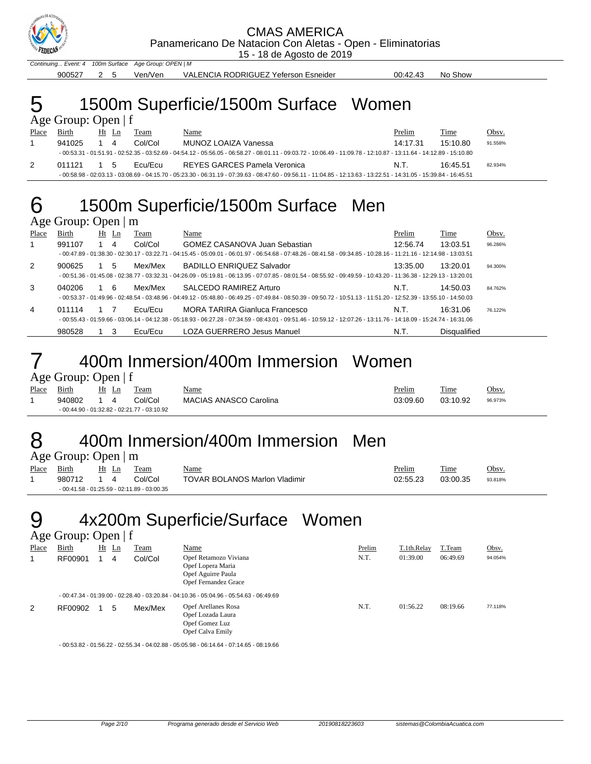

Continuing... Event: 4 100m Surface Age Group: OPEN | M

900527 2 5 Ven/Ven VALENCIA RODRIGUEZ Yeferson Esneider 00:42.43 No Show

#### 5 1500m Superficie/1500m Surface Women  $\overline{A}$ ge Group: Open | f

| Place | Birth  | Ht Ln     | Team    | Name                                                                                                                                                                 | Prelim   | Time     | Obsv.   |
|-------|--------|-----------|---------|----------------------------------------------------------------------------------------------------------------------------------------------------------------------|----------|----------|---------|
|       | 941025 | 4         | Col/Col | MUNOZ LOAIZA Vanessa                                                                                                                                                 | 14:17.31 | 15:10.80 | 91.558% |
|       |        |           |         | - 00:53.31 - 01:51.91 - 02:52.35 - 03:52.69 - 04:54.12 - 05:56.05 - 06:58.27 - 08:01.11 - 09:03.72 - 10:06.49 - 11:09.78 - 12:10.87 - 13:11.64 - 14:12.89 - 15:10.80 |          |          |         |
|       | 011121 | $1\quad5$ | Fou/Fou | REYES GARCES Pamela Veronica                                                                                                                                         | N.T.     | 16:45.51 | 82.934% |
|       |        |           |         | - 00:58.98 - 02:03.13 - 03:08.69 - 04:15.70 - 05:23.30 - 06:31.19 - 07:39.63 - 08:47.60 - 09:56.11 - 11:04.85 - 12:13.63 - 13:22.51 - 14:31.05 - 15:39.84 - 16:45.51 |          |          |         |

### 6 1500m Superficie/1500m Surface Men Age Group: Open | m

|       | $1.50 \, \text{G}$ or $0.40 \, \text{G}$ . $0.60 \, \text{G}$ . |          |         |                                                                                                                                                                                                    |          |              |         |
|-------|-----------------------------------------------------------------|----------|---------|----------------------------------------------------------------------------------------------------------------------------------------------------------------------------------------------------|----------|--------------|---------|
| Place | Birth                                                           | Ht<br>Ln | Team    | Name                                                                                                                                                                                               | Prelim   | Time         | Obsv.   |
|       | 991107                                                          | 4        | Col/Col | <b>GOMEZ CASANOVA Juan Sebastian</b>                                                                                                                                                               | 12:56.74 | 13:03.51     | 96.286% |
|       |                                                                 |          |         | - $00:47.89$ - $01:38.30$ - $02:30.17$ - $03:22.71$ - $04:15.45$ - $05:09.01$ - $06:01.97$ - $06:54.68$ - $07:48.26$ - $08:41.58$ - $09:34.85$ - $10:28.16$ - $11:21.16$ - $12:14.98$ - $13:03.51$ |          |              |         |
| 2     | 900625                                                          | 5        | Mex/Mex | <b>BADILLO ENRIQUEZ Salvador</b>                                                                                                                                                                   | 13:35.00 | 13:20.01     | 94.300% |
|       |                                                                 |          |         | - 00:51.36 - 01:45.08 - 02:38.77 - 03:32.31 - 04:26.09 - 05:19.81 - 06:13.95 - 07:07.85 - 08:01.54 - 08:55.92 - 09:49.59 - 10:43.20 - 11:36.38 - 12:29.13 - 13:20.01                               |          |              |         |
| 3     | 040206                                                          | 16       | Mex/Mex | SALCEDO RAMIREZ Arturo                                                                                                                                                                             | N.T.     | 14:50.03     | 84.762% |
|       |                                                                 |          |         | - 00:53.37 - 01:49.96 - 02:48.54 - 03:48.96 - 04:49.12 - 05:48.80 - 06:49.25 - 07:49.84 - 08:50.39 - 09:50.72 - 10:51.13 - 11:51.20 - 12:52.39 - 13:55.10 - 14:50.03                               |          |              |         |
| 4     | 011114                                                          |          | Ecu/Ecu | MORA TARIRA Gianluca Francesco                                                                                                                                                                     | N.T.     | 16:31.06     | 76.122% |
|       |                                                                 |          |         | - $00:55.43$ - $01:59.66$ - $03:06.14$ - $04:12.38$ - $05:18.93$ - $06:27.28$ - $07:34.59$ - $08:43.01$ - $09:51.46$ - $10:59.12$ - $12:07.26$ - $13:11.76$ - $14:18.09$ - $15:24.74$ - $16:31.06$ |          |              |         |
|       | 980528                                                          | 3        | Ecu/Ecu | LOZA GUERRERO Jesus Manuel                                                                                                                                                                         | N.T.     | Disqualified |         |

### 7 400m Inmersion/400m Immersion Women

| Age Group: Open   f |  |
|---------------------|--|
|---------------------|--|

| ╰            |        |             |    |                                              |                        |          |          |         |
|--------------|--------|-------------|----|----------------------------------------------|------------------------|----------|----------|---------|
| <b>Place</b> | Birth  | Ht          | Ln | Team                                         | <b>Name</b>            | Prelim   | Time     | Obsv.   |
|              | 940802 | $1 \quad 4$ |    | Col/Col                                      | MACIAS ANASCO Carolina | 03:09.60 | 03:10.92 | 96.973% |
|              |        |             |    | $-00:44.90 - 01:32.82 - 02:21.77 - 03:10.92$ |                        |          |          |         |

### 8 400m Inmersion/400m Immersion Men

Age Group: Open | m

Place Birth Ht Ln Team Name Prelim Time Obsv. - 00:41.58 - 01:25.59 - 02:11.89 - 03:00.35

1 980712 1 4 Col/Col TOVAR BOLANOS Marlon Vladimir 02:55.23 03:00.35 93.818%

## 9 4x200m Superficie/Surface Women

Opef Calva Emily

- 00:53.82 - 01:56.22 - 02:55.34 - 04:02.88 - 05:05.98 - 06:14.64 - 07:14.65 - 08:19.66

#### Age Group: Open | f

| Place | Birth   | Ht | Ln | Team    | Name                                                                                            | Prelim | T.1th.Relav | T.Team   | Obsv.   |
|-------|---------|----|----|---------|-------------------------------------------------------------------------------------------------|--------|-------------|----------|---------|
|       | RF00901 |    | 4  | Col/Col | Opef Retamozo Viviana<br>Opef Lopera Maria<br>Opef Aguirre Paula<br><b>Opef Fernandez Grace</b> | N.T.   | 01:39.00    | 06:49.69 | 94.054% |
|       |         |    |    |         | - 00:47.34 - 01:39.00 - 02:28.40 - 03:20.84 - 04:10.36 - 05:04.96 - 05:54.63 - 06:49.69         |        |             |          |         |
| 2     | RF00902 |    | 5  | Mex/Mex | <b>Opef Arellanes Rosa</b><br>Opef Lozada Laura<br>Opef Gomez Luz                               | N.T.   | 01:56.22    | 08:19.66 | 77.118% |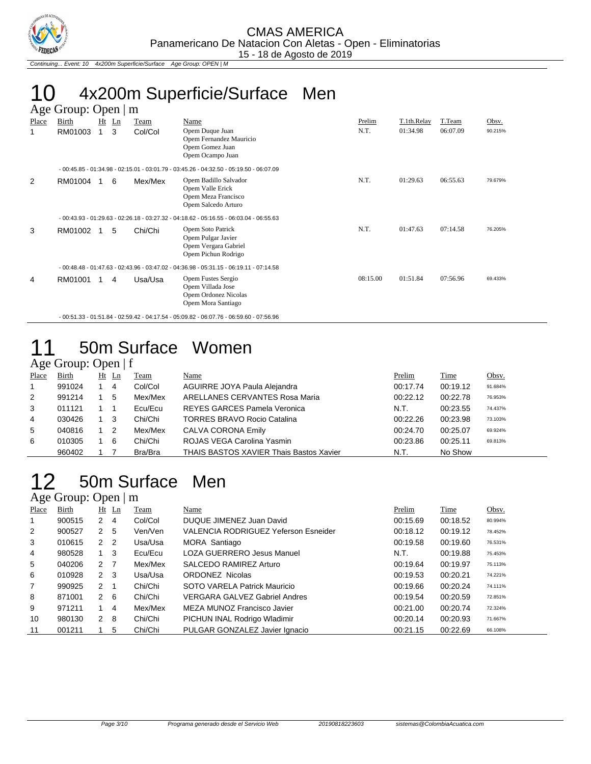

Continuing... Event: 10 4x200m Superficie/Surface Age Group: OPEN | M

# 10 4x200m Superficie/Surface Men

|            | Age Group: Open $\mid$ m |              |                        |                                                                                                  |                |                         |                    |                  |
|------------|--------------------------|--------------|------------------------|--------------------------------------------------------------------------------------------------|----------------|-------------------------|--------------------|------------------|
| Place<br>1 | Birth<br>RM01003         | $Ht$ Ln<br>3 | <b>Team</b><br>Col/Col | <u>Name</u><br>Opem Duque Juan<br>Opem Fernandez Mauricio<br>Opem Gomez Juan<br>Opem Ocampo Juan | Prelim<br>N.T. | T.1th.Relay<br>01:34.98 | T.Team<br>06:07.09 | Obsv.<br>90.215% |
|            |                          |              |                        | $-00:45.85 - 01:34.98 - 02:15.01 - 03:01.79 - 03:45.26 - 04:32.50 - 05:19.50 - 06:07.09$         |                |                         |                    |                  |
| 2          | RM01004                  | 6            | Mex/Mex                | Opem Badillo Salvador<br>Opem Valle Erick<br>Opem Meza Francisco<br>Opem Salcedo Arturo          | N.T.           | 01:29.63                | 06:55.63           | 79.679%          |
|            |                          |              |                        | $-00:43.93 - 01:29.63 - 02:26.18 - 03:27.32 - 04:18.62 - 05:16.55 - 06:03.04 - 06:55.63$         |                |                         |                    |                  |
| 3          | RM01002                  | 5            | Chi/Chi                | Opem Soto Patrick<br>Opem Pulgar Javier<br>Opem Vergara Gabriel<br>Opem Pichun Rodrigo           | N.T.           | 01:47.63                | 07:14.58           | 76.205%          |
|            |                          |              |                        | $-00:48.48 - 01:47.63 - 02:43.96 - 03:47.02 - 04:36.98 - 05:31.15 - 06:19.11 - 07:14.58$         |                |                         |                    |                  |
| 4          | RM01001                  | 4            | Usa/Usa                | Opem Fustes Sergio<br>Opem Villada Jose<br>Opem Ordonez Nicolas<br>Opem Mora Santiago            | 08:15.00       | 01:51.84                | 07:56.96           | 69.433%          |
|            |                          |              |                        | $-00:51.33 - 01:51.84 - 02:59.42 - 04:17.54 - 05:09.82 - 06:07.76 - 06:59.60 - 07:56.96$         |                |                         |                    |                  |

#### 11 50m Surface Women  $A \circ e$  Group: Open | f

|              | $T_{\rm AC}$ Oroup. Open $T$ |    |    |             |                                         |          |          |         |
|--------------|------------------------------|----|----|-------------|-----------------------------------------|----------|----------|---------|
| Place        | Birth                        | Ht | Ln | <b>Team</b> | Name                                    | Prelim   | Time     | Obsv.   |
|              | 991024                       |    | -4 | Col/Col     | AGUIRRE JOYA Paula Alejandra            | 00:17.74 | 00:19.12 | 91.684% |
| $\mathbf{2}$ | 991214                       |    | 5  | Mex/Mex     | ARELLANES CERVANTES Rosa Maria          | 00:22.12 | 00:22.78 | 76.953% |
| 3            | 011121                       |    |    | Ecu/Ecu     | <b>REYES GARCES Pamela Veronica</b>     | N.T.     | 00:23.55 | 74.437% |
| 4            | 030426                       |    | -3 | Chi/Chi     | <b>TORRES BRAVO Rocio Catalina</b>      | 00:22.26 | 00:23.98 | 73.103% |
| 5            | 040816                       |    | -2 | Mex/Mex     | <b>CALVA CORONA Emily</b>               | 00:24.70 | 00:25.07 | 69.924% |
| 6            | 010305                       |    | -6 | Chi/Chi     | ROJAS VEGA Carolina Yasmin              | 00:23.86 | 00:25.11 | 69.813% |
|              | 960402                       |    |    | Bra/Bra     | THAIS BASTOS XAVIER Thais Bastos Xavier | N.T.     | No Show  |         |

# 50m Surface Men

#### Age Group: Open | m

| Place          | Birth  |                | $Ht$ Ln | Team    | Name                                 | Prelim   | Time     | Obsv.   |
|----------------|--------|----------------|---------|---------|--------------------------------------|----------|----------|---------|
| $\mathbf{1}$   | 900515 | $\mathbf{2}$   | 4       | Col/Col | DUQUE JIMENEZ Juan David             | 00:15.69 | 00:18.52 | 80.994% |
| 2              | 900527 | 2              | -5      | Ven/Ven | VALENCIA RODRIGUEZ Yeferson Esneider | 00:18.12 | 00:19.12 | 78.452% |
| 3              | 010615 | 2 <sub>2</sub> |         | Usa/Usa | MORA Santiago                        | 00:19.58 | 00:19.60 | 76.531% |
| 4              | 980528 | 1 3            |         | Ecu/Ecu | <b>LOZA GUERRERO Jesus Manuel</b>    | N.T.     | 00:19.88 | 75.453% |
| 5              | 040206 | 2 <sub>7</sub> |         | Mex/Mex | SALCEDO RAMIREZ Arturo               | 00:19.64 | 00:19.97 | 75.113% |
| 6              | 010928 | $\mathbf{2}$   | - 3     | Usa/Usa | <b>ORDONEZ Nicolas</b>               | 00:19.53 | 00:20.21 | 74.221% |
| $\overline{7}$ | 990925 | $2 \quad 1$    |         | Chi/Chi | SOTO VARELA Patrick Mauricio         | 00:19.66 | 00:20.24 | 74.111% |
| 8              | 871001 | $2 \quad 6$    |         | Chi/Chi | <b>VERGARA GALVEZ Gabriel Andres</b> | 00:19.54 | 00:20.59 | 72.851% |
| 9              | 971211 |                | -4      | Mex/Mex | MEZA MUNOZ Francisco Javier          | 00:21.00 | 00:20.74 | 72.324% |
| 10             | 980130 | $2^{\circ}$    | -8      | Chi/Chi | PICHUN INAL Rodrigo Wladimir         | 00:20.14 | 00:20.93 | 71.667% |
| 11             | 001211 |                | 5       | Chi/Chi | PULGAR GONZALEZ Javier Ignacio       | 00:21.15 | 00:22.69 | 66.108% |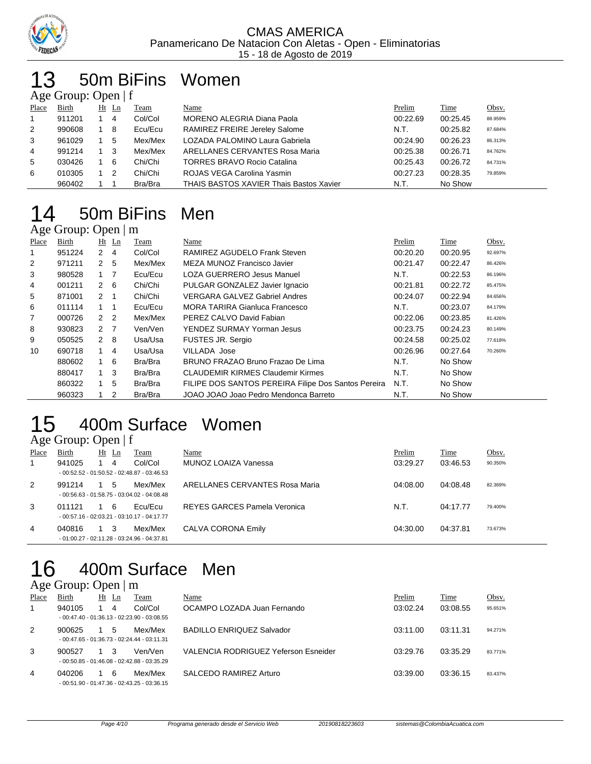

### 50m BiFins Women Age Group: Open  $|f|$

|                | $T_{\rm AC}$ Oroup. Open $T$ |  |                |         |                                         |          |          |         |  |  |  |  |
|----------------|------------------------------|--|----------------|---------|-----------------------------------------|----------|----------|---------|--|--|--|--|
| Place          | <b>Birth</b>                 |  | $Ht$ Ln        | Team    | Name                                    | Prelim   | Time     | Obsv.   |  |  |  |  |
|                | 911201                       |  | 4              | Col/Col | <b>MORENO ALEGRIA Diana Paola</b>       | 00:22.69 | 00:25.45 | 88.959% |  |  |  |  |
| 2              | 990608                       |  | -8             | Ecu/Ecu | RAMIREZ FREIRE Jereley Salome           | N.T.     | 00:25.82 | 87.684% |  |  |  |  |
| 3              | 961029                       |  | 5              | Mex/Mex | LOZADA PALOMINO Laura Gabriela          | 00:24.90 | 00:26.23 | 86.313% |  |  |  |  |
| $\overline{4}$ | 991214                       |  | $_{3}$         | Mex/Mex | ARELLANES CERVANTES Rosa Maria          | 00:25.38 | 00:26.71 | 84.762% |  |  |  |  |
| 5              | 030426                       |  | -6             | Chi/Chi | <b>TORRES BRAVO Rocio Catalina</b>      | 00:25.43 | 00:26.72 | 84.731% |  |  |  |  |
| 6              | 010305                       |  | $\overline{2}$ | Chi/Chi | ROJAS VEGA Carolina Yasmin              | 00:27.23 | 00:28.35 | 79.859% |  |  |  |  |
|                | 960402                       |  |                | Bra/Bra | THAIS BASTOS XAVIER Thais Bastos Xavier | N.T.     | No Show  |         |  |  |  |  |

# 50m BiFins Men

### Age Group: Open | m

| Place | Birth  | Ht             | $\mathbf{L}$ n | Team    | Name                                                | Prelim   | Time     | Obsv.   |
|-------|--------|----------------|----------------|---------|-----------------------------------------------------|----------|----------|---------|
|       | 951224 | $2 \quad 4$    |                | Col/Col | RAMIREZ AGUDELO Frank Steven                        | 00:20.20 | 00:20.95 | 92.697% |
| 2     | 971211 | 2 <sub>5</sub> |                | Mex/Mex | MEZA MUNOZ Francisco Javier                         | 00:21.47 | 00:22.47 | 86.426% |
| 3     | 980528 | $1 \quad 7$    |                | Ecu/Ecu | LOZA GUERRERO Jesus Manuel                          | N.T.     | 00:22.53 | 86.196% |
| 4     | 001211 | $2 \quad 6$    |                | Chi/Chi | PULGAR GONZALEZ Javier Ignacio                      | 00:21.81 | 00:22.72 | 85.475% |
| 5     | 871001 | $2 \quad 1$    |                | Chi/Chi | <b>VERGARA GALVEZ Gabriel Andres</b>                | 00:24.07 | 00:22.94 | 84.656% |
| 6     | 011114 | $1 \quad 1$    |                | Ecu/Ecu | MORA TARIRA Gianluca Francesco                      | N.T.     | 00:23.07 | 84.179% |
| 7     | 000726 | 2 <sub>2</sub> |                | Mex/Mex | PEREZ CALVO David Fabian                            | 00:22.06 | 00:23.85 | 81.426% |
| 8     | 930823 | 2 <sub>7</sub> |                | Ven/Ven | YENDEZ SURMAY Yorman Jesus                          | 00:23.75 | 00:24.23 | 80.149% |
| 9     | 050525 | $2 \quad 8$    |                | Usa/Usa | <b>FUSTES JR. Sergio</b>                            | 00:24.58 | 00:25.02 | 77.618% |
| 10    | 690718 | 1              | $\overline{4}$ | Usa/Usa | <b>VILLADA Jose</b>                                 | 00:26.96 | 00:27.64 | 70.260% |
|       | 880602 | $1\quad 6$     |                | Bra/Bra | BRUNO FRAZAO Bruno Frazao De Lima                   | N.T.     | No Show  |         |
|       | 880417 | 1              | 3              | Bra/Bra | <b>CLAUDEMIR KIRMES Claudemir Kirmes</b>            | N.T.     | No Show  |         |
|       | 860322 | 1              | 5              | Bra/Bra | FILIPE DOS SANTOS PEREIRA Filipe Dos Santos Pereira | N.T.     | No Show  |         |
|       | 960323 |                | 2              | Bra/Bra | JOAO JOAO Joao Pedro Mendonca Barreto               | N.T.     | No Show  |         |

## 400m Surface Women

### Age Group: Open | f

| Place | Birth                                        |  | $Ht$ Ln | Team                                         | Name                           | Prelim   | Time     | Obsv.   |  |  |
|-------|----------------------------------------------|--|---------|----------------------------------------------|--------------------------------|----------|----------|---------|--|--|
| 1     | 941025                                       |  | 4       | Col/Col                                      | MUNOZ LOAIZA Vanessa           | 03:29.27 | 03:46.53 | 90.350% |  |  |
|       |                                              |  |         | $-00:52.52 - 01:50.52 - 02:48.87 - 03:46.53$ |                                |          |          |         |  |  |
| 2     | 991214                                       |  | 5       | Mex/Mex                                      | ARELLANES CERVANTES Rosa Maria | 04:08.00 | 04:08.48 | 82.369% |  |  |
|       |                                              |  |         | $-00:56.63 - 01:58.75 - 03:04.02 - 04:08.48$ |                                |          |          |         |  |  |
| 3     | 011121                                       |  | - 6     | Ecu/Ecu                                      | REYES GARCES Pamela Veronica   | N.T.     | 04:17.77 | 79.400% |  |  |
|       |                                              |  |         | $-00:57.16 - 02:03.21 - 03:10.17 - 04:17.77$ |                                |          |          |         |  |  |
| 4     | 040816                                       |  | - 3     | Mex/Mex                                      | CALVA CORONA Emily             | 04:30.00 | 04:37.81 | 73.673% |  |  |
|       | $-01:00.27 - 02:11.28 - 03:24.96 - 04:37.81$ |  |         |                                              |                                |          |          |         |  |  |

### 16 400m Surface Men

|       | Age Group: Open $\mid$ m |          |                                              |                                      |          |          |         |
|-------|--------------------------|----------|----------------------------------------------|--------------------------------------|----------|----------|---------|
| Place | Birth                    | Ht<br>Ln | Team                                         | Name                                 | Prelim   | Time     | Obsv.   |
| 1     | 940105                   | 4        | Col/Col                                      | OCAMPO LOZADA Juan Fernando          | 03:02.24 | 03:08.55 | 95.651% |
|       |                          |          | $-00:47.40 - 01:36.13 - 02:23.90 - 03:08.55$ |                                      |          |          |         |
| 2     | 900625                   | 5        | Mex/Mex                                      | <b>BADILLO ENRIQUEZ Salvador</b>     | 03:11.00 | 03:11.31 | 94.271% |
|       |                          |          | $-00:47.65 - 01:36.73 - 02:24.44 - 03:11.31$ |                                      |          |          |         |
| 3     | 900527                   | -3       | Ven/Ven                                      | VALENCIA RODRIGUEZ Yeferson Esneider | 03:29.76 | 03:35.29 | 83.771% |
|       |                          |          | $-00:50.85 - 01:46.08 - 02:42.88 - 03:35.29$ |                                      |          |          |         |
| 4     | 040206                   | 6        | Mex/Mex                                      | SALCEDO RAMIREZ Arturo               | 03:39.00 | 03:36.15 | 83.437% |
|       |                          |          | $-00:51.90 - 01:47.36 - 02:43.25 - 03:36.15$ |                                      |          |          |         |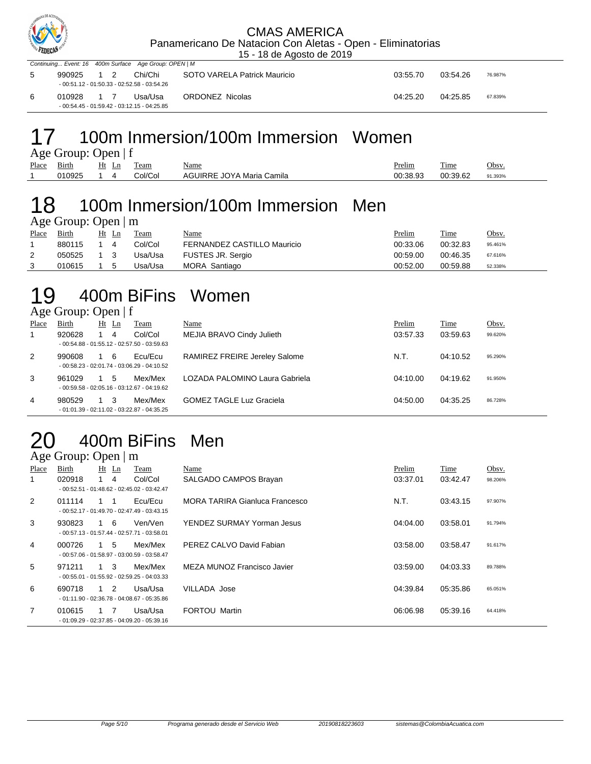

|             |            |  | Continuing Event: 16 400m Surface Age Group: OPEN   M |                              |          |          |         |
|-------------|------------|--|-------------------------------------------------------|------------------------------|----------|----------|---------|
| $5^{\circ}$ | 990925 1 2 |  | Chi/Chi                                               | SOTO VARELA Patrick Mauricio | 03:55.70 | 03:54.26 | 76.987% |
|             |            |  | $-00:51.12 - 01:50.33 - 02:52.58 - 03:54.26$          |                              |          |          |         |
|             | 010928     |  | Usa/Usa                                               | <b>ORDONEZ Nicolas</b>       | 04:25.20 | 04:25.85 | 67.839% |
|             |            |  | $-00:54.45 - 01:59.42 - 03:12.15 - 04:25.85$          |                              |          |          |         |

#### 17 100m Inmersion/100m Immersion Women  $\Delta$ ge Group: Open | f

| $T_{\rm K}$ UIVup. Open   1 |              |       |         |                           |               |             |         |  |  |  |  |
|-----------------------------|--------------|-------|---------|---------------------------|---------------|-------------|---------|--|--|--|--|
| Place                       | <b>Birth</b> | Ht Ln | Team    | <b>Name</b>               | <u>Prelim</u> | <b>Time</b> | Obsv.   |  |  |  |  |
|                             | 010925       |       | Col/Col | AGUIRRE JOYA Maria Camila | 00:38.93      | 00:39.62    | 91.393% |  |  |  |  |

### 18 100m Inmersion/100m Immersion Men Age Group: Open | m

| Place | <u>Birth</u> |    | Ht Ln | Team    | <u>Name</u>                 | <u>Prelim</u> | <b>Time</b> | Obsv.   |
|-------|--------------|----|-------|---------|-----------------------------|---------------|-------------|---------|
|       | 880115       | 14 |       | Col/Col | FERNANDEZ CASTILLO Mauricio | 00:33.06      | 00:32.83    | 95.461% |
|       | 050525 1 3   |    |       | Usa/Usa | FUSTES JR. Sergio           | 00:59.00      | 00:46.35    | 67.616% |
|       | 010615       | 15 |       | Usa/Usa | MORA Santiago               | 00:52.00      | 00:59.88    | 52.338% |

## 19 400m BiFins Women

Age Group: Open | f

| ັ     |                                              |  |       |                                              |                                 |          |          |         |  |  |
|-------|----------------------------------------------|--|-------|----------------------------------------------|---------------------------------|----------|----------|---------|--|--|
| Place | Birth                                        |  | Ht Ln | Team                                         | Name                            | Prelim   | Time     | Obsv.   |  |  |
|       | 920628                                       |  | 4     | Col/Col                                      | MEJIA BRAVO Cindy Julieth       | 03:57.33 | 03:59.63 | 99.620% |  |  |
|       |                                              |  |       | $-00:54.88 - 01:55.12 - 02:57.50 - 03:59.63$ |                                 |          |          |         |  |  |
| 2     | 990608                                       |  | -6    | Ecu/Ecu                                      | RAMIREZ FREIRE Jereley Salome   | N.T.     | 04:10.52 | 95.290% |  |  |
|       | $-00:58.23 - 02:01.74 - 03:06.29 - 04:10.52$ |  |       |                                              |                                 |          |          |         |  |  |
| 3     | 961029                                       |  | 5     | Mex/Mex                                      | LOZADA PALOMINO Laura Gabriela  | 04:10.00 | 04:19.62 | 91.950% |  |  |
|       | $-00:59.58 - 02:05.16 - 03:12.67 - 04:19.62$ |  |       |                                              |                                 |          |          |         |  |  |
| 4     | 980529                                       |  | 3     | Mex/Mex                                      | <b>GOMEZ TAGLE Luz Graciela</b> | 04:50.00 | 04:35.25 | 86.728% |  |  |
|       |                                              |  |       | $-01:01.39 - 02:11.02 - 03:22.87 - 04:35.25$ |                                 |          |          |         |  |  |

# 20 400m BiFins Men

Age Group: Open | m Place Birth Ht Ln Team Name Prelim Time Obsv. 1 020918 1 4 Col/Col SALGADO CAMPOS Brayan 03:37.01 03:42.47 98.206% - 00:52.51 - 01:48.62 - 02:45.02 - 03:42.47 2 011114 1 1 Ecu/Ecu MORA TARIRA Gianluca Francesco N.T. 03:43.15 97.907% - 00:52.17 - 01:49.70 - 02:47.49 - 03:43.15 3 930823 1 6 Ven/Ven YENDEZ SURMAY Yorman Jesus 04:04.00 03:58.01 91.794% - 00:57.13 - 01:57.44 - 02:57.71 - 03:58.01 4 000726 1 5 Mex/Mex PEREZ CALVO David Fabian 03:58.00 03:58.47 91.617% - 00:57.06 - 01:58.97 - 03:00.59 - 03:58.47 5 971211 1 3 Mex/Mex MEZA MUNOZ Francisco Javier 03:59.00 04:03.33 89.788% - 00:55.01 - 01:55.92 - 02:59.25 - 04:03.33 6 690718 1 2 Usa/Usa VILLADA Jose 04:39.84 05:35.86 65.051% - 01:11.90 - 02:36.78 - 04:08.67 - 05:35.86 7 010615 1 7 Usa/Usa FORTOU Martin 06:06.98 05:39.16 64.418% - 01:09.29 - 02:37.85 - 04:09.20 - 05:39.16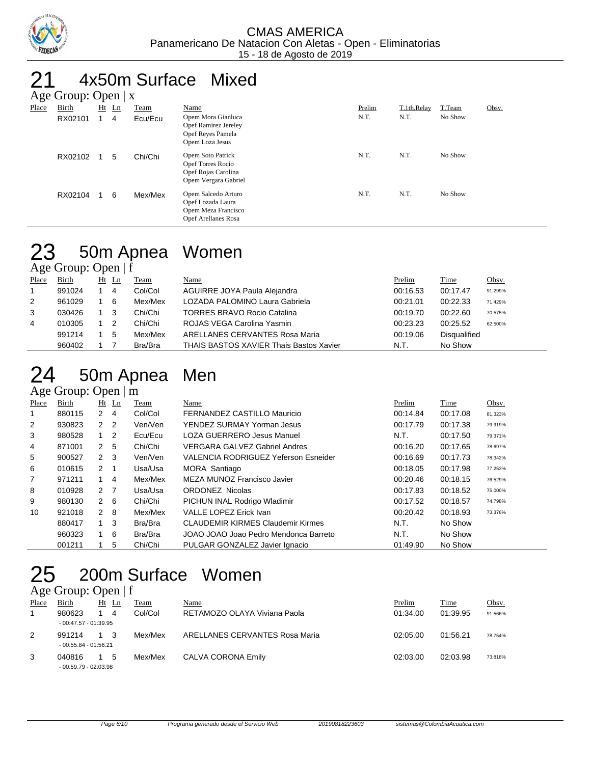

## 21 4x50m Surface Mixed

|       | Age Group: Open  <br>$\mathbf{X}$ |    |                |         |                                                                                               |        |             |         |       |  |  |  |
|-------|-----------------------------------|----|----------------|---------|-----------------------------------------------------------------------------------------------|--------|-------------|---------|-------|--|--|--|
| Place | <b>Birth</b>                      | Ht | $_{\text{Ln}}$ | Team    | Name                                                                                          | Prelim | T.1th.Relay | T.Team  | Obsv. |  |  |  |
|       | RX02101                           |    | 4              | Ecu/Ecu | Opem Mora Gianluca<br><b>Opef Ramirez Jereley</b><br>Opef Reyes Pamela<br>Opem Loza Jesus     | N.T.   | N.T.        | No Show |       |  |  |  |
|       | RX02102                           |    | 5              | Chi/Chi | Opem Soto Patrick<br><b>Opef Torres Rocio</b><br>Opef Rojas Carolina<br>Opem Vergara Gabriel  | N.T.   | N.T.        | No Show |       |  |  |  |
|       | RX02104                           |    | 6              | Mex/Mex | Opem Salcedo Arturo<br>Opef Lozada Laura<br>Opem Meza Francisco<br><b>Opef Arellanes Rosa</b> | N.T.   | N.T.        | No Show |       |  |  |  |

### 23 50m Apnea Women  $\overline{Age}$  Group: Open | f

| Place | Birth  | Ht | <u>Ln</u> | Team    | Name                                    | Prelim   | Time                | Obsv.   |
|-------|--------|----|-----------|---------|-----------------------------------------|----------|---------------------|---------|
|       | 991024 |    | 4         | Col/Col | AGUIRRE JOYA Paula Alejandra            | 00:16.53 | 00:17.47            | 91.299% |
| 2     | 961029 |    | -6        | Mex/Mex | LOZADA PALOMINO Laura Gabriela          | 00:21.01 | 00:22.33            | 71.429% |
| 3     | 030426 |    | -3        | Chi/Chi | <b>TORRES BRAVO Rocio Catalina</b>      | 00:19.70 | 00:22.60            | 70.575% |
| 4     | 010305 |    | -2        | Chi/Chi | ROJAS VEGA Carolina Yasmin              | 00:23.23 | 00:25.52            | 62.500% |
|       | 991214 |    | 5         | Mex/Mex | ARELLANES CERVANTES Rosa Maria          | 00:19.06 | <b>Disqualified</b> |         |
|       | 960402 |    |           | Bra/Bra | THAIS BASTOS XAVIER Thais Bastos Xavier | N.T.     | No Show             |         |

## 24 50m Apnea Men

#### Age Group: Open | m <u>Place Birth Ht Ln Team Name</u> Place Here are Prelim Time Obsv. 1 880115 2 4 Col/Col FERNANDEZ CASTILLO Mauricio 00:14.84 00:17.08 81.323% 2 930823 2 2 Ven/Ven YENDEZ SURMAY Yorman Jesus 00:17.79 00:17.38 79.919% 3 980528 1 2 Ecu/Ecu LOZA GUERRERO Jesus Manuel N.T. 00:17.50 79.371% 4 871001 2 5 Chi/Chi VERGARA GALVEZ Gabriel Andres 00:16.20 00:17.65 78.697% 5 900527 2 3 Ven/Ven VALENCIA RODRIGUEZ Yeferson Esneider 00:16.69 00:17.73 78.342% 6 010615 2 1 Usa/Usa MORA Santiago 00:18.05 00:17.98 77.253% 7 971211 1 4 Mex/Mex MEZA MUNOZ Francisco Javier 00:20.46 00:18.15 76.529% 8 010928 2 7 Usa/Usa ORDONEZ Nicolas 00:17.83 00:18.52 75.000% 9 980130 2 6 Chi/Chi PICHUN INAL Rodrigo Wladimir 00:17.52 00:18.57 74.798% 10 921018 2 8 Mex/Mex VALLE LOPEZ Erick Ivan **10 100:20.42 00:18.93** 73.376% 880417 1 3 Bra/Bra CLAUDEMIR KIRMES Claudemir Kirmes N.T. No Show 960323 1 6 Bra/Bra JOAO JOAO Joao Pedro Mendonca Barreto N.T. No Show 001211 1 5 Chi/Chi PULGAR GONZALEZ Javier Ignacio 01:49.90 No Show

# 25 200m Surface Women

|       | Age Group: Open $ f $            |    |    |             |                                |          |          |         |
|-------|----------------------------------|----|----|-------------|--------------------------------|----------|----------|---------|
| Place | Birth                            | Ht | Ln | <b>Team</b> | Name                           | Prelim   | Time     | Obsv.   |
|       | 980623<br>$-00:47.57 - 01:39.95$ |    | 4  | Col/Col     | RETAMOZO OLAYA Viviana Paola   | 01:34.00 | 01:39.95 | 91.566% |
| 2     | 991214<br>$-00:55.84 - 01:56.21$ |    |    | Mex/Mex     | ARELLANES CERVANTES Rosa Maria | 02:05.00 | 01:56.21 | 78.754% |
| 3     | 040816<br>$-00:59.79 - 02:03.98$ |    | 5  | Mex/Mex     | <b>CALVA CORONA Emily</b>      | 02:03.00 | 02:03.98 | 73.818% |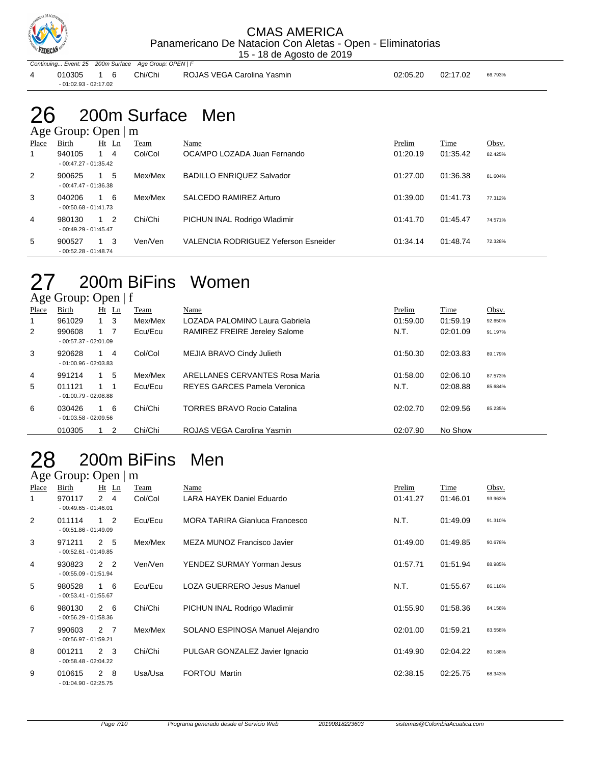

Continuing... Event: 25 200m Surface Age Group: OPEN | F 4 010305 1 6 Chi/Chi ROJAS VEGA Carolina Yasmin 02:05.20 02:17.02 66.793% - 01:02.93 - 02:17.02

### 26 200m Surface Men Age Group: Open | m

|       | $1.50$ shows. Spen   $\text{m}$  |            |         |                                             |          |          |         |  |  |  |  |  |
|-------|----------------------------------|------------|---------|---------------------------------------------|----------|----------|---------|--|--|--|--|--|
| Place | Birth                            | Ht<br>Ln   | Team    | Name                                        | Prelim   | Time     | Obsv.   |  |  |  |  |  |
| 1     | 940105<br>$-00:47.27 - 01:35.42$ | 4          | Col/Col | OCAMPO LOZADA Juan Fernando                 | 01:20.19 | 01:35.42 | 82.425% |  |  |  |  |  |
| 2     | 900625<br>$-00:47.47 - 01:36.38$ | 5<br>1     | Mex/Mex | <b>BADILLO ENRIQUEZ Salvador</b>            | 01:27.00 | 01:36.38 | 81.604% |  |  |  |  |  |
| 3     | 040206<br>$-00:50.68 - 01:41.73$ | -6<br>1    | Mex/Mex | SALCEDO RAMIREZ Arturo                      | 01:39.00 | 01:41.73 | 77.312% |  |  |  |  |  |
| 4     | 980130<br>$-00:49.29 - 01:45.47$ | $1\quad 2$ | Chi/Chi | PICHUN INAL Rodrigo Wladimir                | 01:41.70 | 01:45.47 | 74.571% |  |  |  |  |  |
| 5     | 900527<br>$-00:52.28 - 01:48.74$ | 3<br>1     | Ven/Ven | <b>VALENCIA RODRIGUEZ Yeferson Esneider</b> | 01:34.14 | 01:48.74 | 72.328% |  |  |  |  |  |

## 27 200m BiFins Women

| Age Group: Open   f |  |  |  |  |  |  |
|---------------------|--|--|--|--|--|--|
|---------------------|--|--|--|--|--|--|

| Place          | Birth                            | $Ht$ Ln     | Team    | Name                                 | Prelim   | Time     | Obsv.   |
|----------------|----------------------------------|-------------|---------|--------------------------------------|----------|----------|---------|
| 1              | 961029                           | $1 \quad 3$ | Mex/Mex | LOZADA PALOMINO Laura Gabriela       | 01:59.00 | 01:59.19 | 92.650% |
| 2              | 990608<br>$-00:57.37 - 02:01.09$ | $1 \quad 7$ | Ecu/Ecu | <b>RAMIREZ FREIRE Jereley Salome</b> | N.T.     | 02:01.09 | 91.197% |
| 3              | 920628<br>$-01:00.96 - 02:03.83$ | -4<br>1     | Col/Col | MEJIA BRAVO Cindy Julieth            | 01:50.30 | 02:03.83 | 89.179% |
| $\overline{4}$ | 991214                           | -5<br>1     | Mex/Mex | ARELLANES CERVANTES Rosa Maria       | 01:58.00 | 02:06.10 | 87.573% |
| 5              | 011121<br>$-01:00.79 - 02:08.88$ | $1 \quad 1$ | Ecu/Ecu | REYES GARCES Pamela Veronica         | N.T.     | 02:08.88 | 85.684% |
| 6              | 030426<br>$-01:03.58 - 02:09.56$ | $1\quad 6$  | Chi/Chi | <b>TORRES BRAVO Rocio Catalina</b>   | 02:02.70 | 02:09.56 | 85.235% |
|                | 010305                           | -2          | Chi/Chi | ROJAS VEGA Carolina Yasmin           | 02:07.90 | No Show  |         |

### 28 200m BiFins Men Age Group: Open | m

| Place | Birth                                                      |                | $Ht$ Ln | Team    | Name                                  | Prelim   | Time     | Obsv.   |
|-------|------------------------------------------------------------|----------------|---------|---------|---------------------------------------|----------|----------|---------|
| 1     | 970117                                                     | $\mathbf{2}$   | 4       | Col/Col | LARA HAYEK Daniel Eduardo             | 01:41.27 | 01:46.01 | 93.963% |
| 2     | $-00:49.65 - 01:46.01$<br>011114<br>$-00:51.86 - 01:49.09$ | $1\quad 2$     |         | Ecu/Ecu | <b>MORA TARIRA Gianluca Francesco</b> | N.T.     | 01:49.09 | 91.310% |
| 3     | 971211<br>$-00:52.61 - 01:49.85$                           | 2 <sub>5</sub> |         | Mex/Mex | MEZA MUNOZ Francisco Javier           | 01:49.00 | 01:49.85 | 90.678% |
| 4     | 930823<br>$-00:55.09 - 01:51.94$                           | 2 <sub>2</sub> |         | Ven/Ven | YENDEZ SURMAY Yorman Jesus            | 01:57.71 | 01:51.94 | 88.985% |
| 5     | 980528<br>$-00:53.41 - 01:55.67$                           | 1              | -6      | Ecu/Ecu | LOZA GUERRERO Jesus Manuel            | N.T.     | 01:55.67 | 86.116% |
| 6     | 980130<br>$-00:56.29 - 01:58.36$                           | $2\quad 6$     |         | Chi/Chi | PICHUN INAL Rodrigo Wladimir          | 01:55.90 | 01:58.36 | 84.158% |
| 7     | 990603<br>$-00:56.97 - 01:59.21$                           | 2 7            |         | Mex/Mex | SOLANO ESPINOSA Manuel Alejandro      | 02:01.00 | 01:59.21 | 83.558% |
| 8     | 001211<br>$-00:58.48 - 02:04.22$                           | $2 \quad 3$    |         | Chi/Chi | PULGAR GONZALEZ Javier Ignacio        | 01:49.90 | 02:04.22 | 80.188% |
| 9     | 010615<br>$-01:04.90 - 02:25.75$                           | $\overline{2}$ | 8       | Usa/Usa | <b>FORTOU Martin</b>                  | 02:38.15 | 02:25.75 | 68.343% |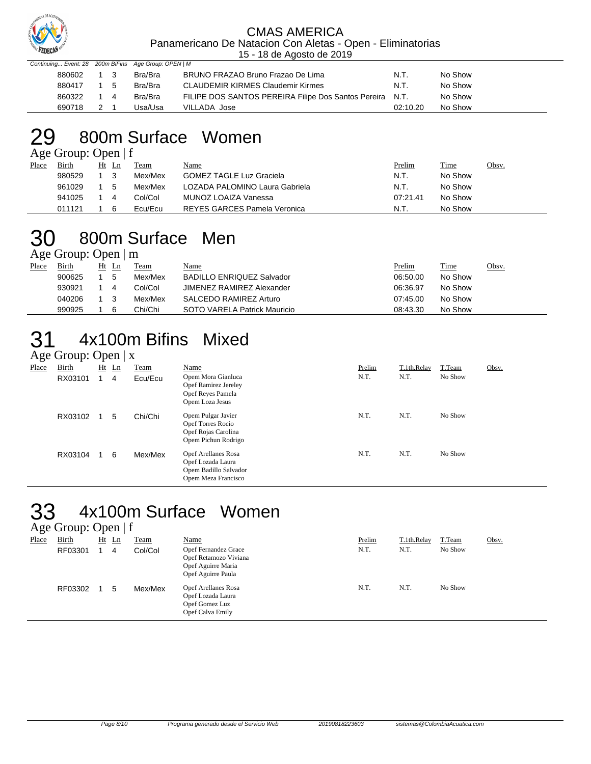

 $m<sub>t</sub>$  28 200m BiFins Age Group: OPEN | M

| 880602 1 3 |     | Bra/Bra | BRUNO FRAZAO Bruno Frazao De Lima                        | N.T.     | No Show |
|------------|-----|---------|----------------------------------------------------------|----------|---------|
| 880417 1 5 |     | Bra/Bra | <b>CLAUDEMIR KIRMES Claudemir Kirmes</b>                 | N.T.     | No Show |
| 860322     | 1 4 | Bra/Bra | FILIPE DOS SANTOS PEREIRA Filipe Dos Santos Pereira N.T. |          | No Show |
| 690718 2 1 |     | Usa/Usa | VILLADA Jose                                             | 02:10.20 | No Show |

### 29 800m Surface Women

Age Group: Open | f

| Place | Birth  | Ht | Ln | Team    | <u>Name</u>                     | Prelim   | <b>Time</b> | Obsv. |
|-------|--------|----|----|---------|---------------------------------|----------|-------------|-------|
|       | 980529 |    |    | Mex/Mex | <b>GOMEZ TAGLE Luz Graciela</b> | N.T.     | No Show     |       |
|       | 961029 |    | .5 | Mex/Mex | LOZADA PALOMINO Laura Gabriela  | N.T.     | No Show     |       |
|       | 941025 |    |    | Col/Col | MUNOZ LOAIZA Vanessa            | 07:21.41 | No Show     |       |
|       | 011121 |    |    | Ecu/Ecu | REYES GARCES Pamela Veronica    | N.T.     | No Show     |       |

### 30 800m Surface Men Age Group: Open | m

| Obsv. |
|-------|
|       |
|       |
|       |
|       |
|       |

# 31 4x100m Bifins Mixed

|       | Age Group: Open $ x $ |  |         |         |                                                                                           |        |             |         |       |  |
|-------|-----------------------|--|---------|---------|-------------------------------------------------------------------------------------------|--------|-------------|---------|-------|--|
| Place | Birth                 |  | $Ht$ Ln | Team    | Name                                                                                      | Prelim | T.1th.Relay | T.Team  | Obsv. |  |
|       | RX03101               |  | 4       | Ecu/Ecu | Opem Mora Gianluca<br><b>Opef Ramirez Jereley</b><br>Opef Reyes Pamela<br>Opem Loza Jesus | N.T.   | N.T.        | No Show |       |  |
|       | RX03102               |  | 5       | Chi/Chi | Opem Pulgar Javier<br>Opef Torres Rocio<br>Opef Rojas Carolina<br>Opem Pichun Rodrigo     | N.T.   | N.T.        | No Show |       |  |
|       | RX03104               |  | 6       | Mex/Mex | Opef Arellanes Rosa<br>Opef Lozada Laura<br>Opem Badillo Salvador<br>Opem Meza Francisco  | N.T.   | N.T.        | No Show |       |  |

### 4x100m Surface Women Age Group: Open | f

| $T_{\rm AC}$ Oroup. Open   1 |              |  |         |         |                                                                                           |        |             |         |       |  |
|------------------------------|--------------|--|---------|---------|-------------------------------------------------------------------------------------------|--------|-------------|---------|-------|--|
| Place                        | <b>Birth</b> |  | $Ht$ Ln | Team    | Name                                                                                      | Prelim | T.1th.Relay | T.Team  | Obsv. |  |
|                              | RF03301      |  | 4       | Col/Col | Opef Fernandez Grace<br>Opef Retamozo Viviana<br>Opef Aguirre Maria<br>Opef Aguirre Paula | N.T.   | N.T.        | No Show |       |  |
|                              | RF03302      |  | 5       | Mex/Mex | <b>Opef Arellanes Rosa</b><br>Opef Lozada Laura<br>Opef Gomez Luz<br>Opef Calva Emily     | N.T.   | N.T.        | No Show |       |  |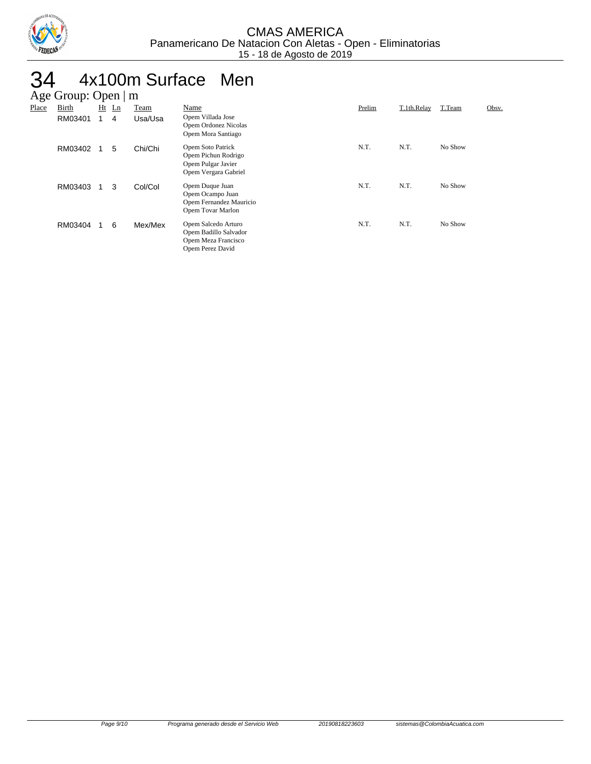

## 34 4x100m Surface Men

|       | Age Group: Open $\mid$ m |    |         |                 |                                                                                         |        |             |         |       |
|-------|--------------------------|----|---------|-----------------|-----------------------------------------------------------------------------------------|--------|-------------|---------|-------|
| Place | Birth<br>RM03401         | Ht | Ln<br>4 | Team<br>Usa/Usa | Name<br>Opem Villada Jose<br>Opem Ordonez Nicolas<br>Opem Mora Santiago                 | Prelim | T.1th.Relay | T.Team  | Obsv. |
|       | RM03402                  |    | 5       | Chi/Chi         | Opem Soto Patrick<br>Opem Pichun Rodrigo<br>Opem Pulgar Javier<br>Opem Vergara Gabriel  | N.T.   | N.T.        | No Show |       |
|       | RM03403                  |    | 3       | Col/Col         | Opem Duque Juan<br>Opem Ocampo Juan<br>Opem Fernandez Mauricio<br>Opem Tovar Marlon     | N.T.   | N.T.        | No Show |       |
|       | RM03404                  |    | 6       | Mex/Mex         | Opem Salcedo Arturo<br>Opem Badillo Salvador<br>Opem Meza Francisco<br>Opem Perez David | N.T.   | N.T.        | No Show |       |